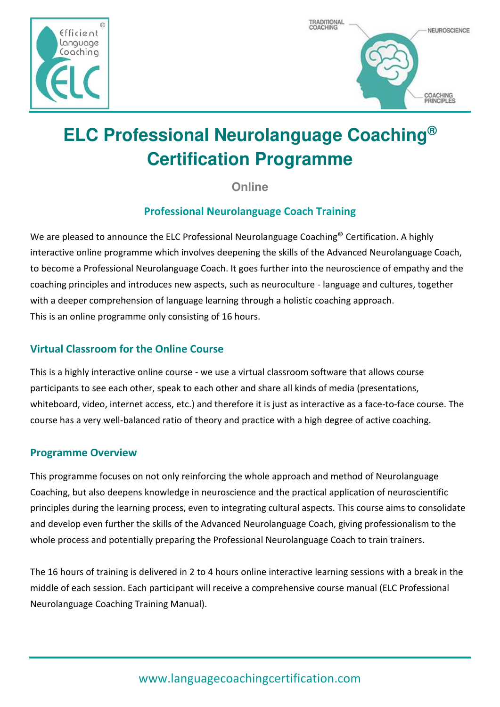



## **ELC Professional Neurolanguage Coaching® Certification Programme**

**Online** 

## **Professional Neurolanguage Coach Training**

We are pleased to announce the ELC Professional Neurolanguage Coaching<sup>®</sup> Certification. A highly interactive online programme which involves deepening the skills of the Advanced Neurolanguage Coach, to become a Professional Neurolanguage Coach. It goes further into the neuroscience of empathy and the coaching principles and introduces new aspects, such as neuroculture - language and cultures, together with a deeper comprehension of language learning through a holistic coaching approach. This is an online programme only consisting of 16 hours.

## **Virtual Classroom for the Online Course**

This is a highly interactive online course - we use a virtual classroom software that allows course participants to see each other, speak to each other and share all kinds of media (presentations, whiteboard, video, internet access, etc.) and therefore it is just as interactive as a face-to-face course. The course has a very well-balanced ratio of theory and practice with a high degree of active coaching.

## **Programme Overview**

This programme focuses on not only reinforcing the whole approach and method of Neurolanguage Coaching, but also deepens knowledge in neuroscience and the practical application of neuroscientific principles during the learning process, even to integrating cultural aspects. This course aims to consolidate and develop even further the skills of the Advanced Neurolanguage Coach, giving professionalism to the whole process and potentially preparing the Professional Neurolanguage Coach to train trainers.

The 16 hours of training is delivered in 2 to 4 hours online interactive learning sessions with a break in the middle of each session. Each participant will receive a comprehensive course manual (ELC Professional Neurolanguage Coaching Training Manual).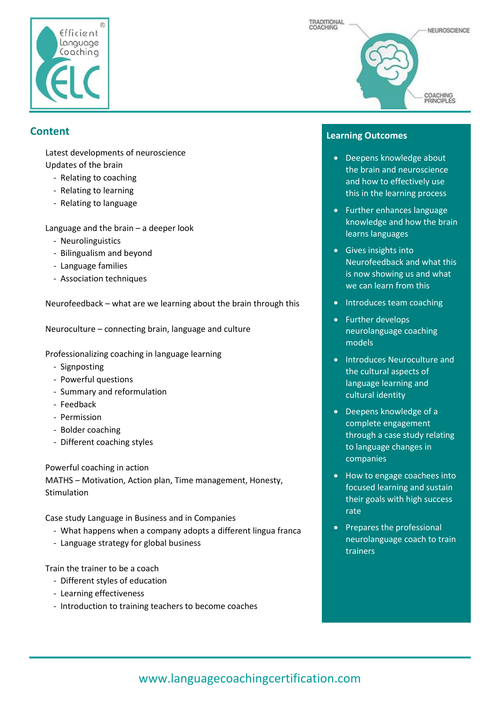

# TRADITIONAL COACHING NEUROSCIENCE **COACHING**<br>PRINCIPLES

## **Content**

Latest developments of neuroscience Updates of the brain

- Relating to coaching
- Relating to learning
- Relating to language

Language and the brain – a deeper look

- Neurolinguistics
- Bilingualism and beyond
- Language families
- Association techniques

Neurofeedback – what are we learning about the brain through this

Neuroculture – connecting brain, language and culture

Professionalizing coaching in language learning

- Signposting
- Powerful questions
- Summary and reformulation
- Feedback
- Permission
- Bolder coaching
- Different coaching styles

Powerful coaching in action

MATHS – Motivation, Action plan, Time management, Honesty, Stimulation

Case study Language in Business and in Companies

- What happens when a company adopts a different lingua franca
- Language strategy for global business

Train the trainer to be a coach

- Different styles of education
- Learning effectiveness
- Introduction to training teachers to become coaches

#### **Learning Outcomes**

- Deepens knowledge about the brain and neuroscience and how to effectively use this in the learning process
- Further enhances language knowledge and how the brain learns languages
- Gives insights into Neurofeedback and what this is now showing us and what we can learn from this
- Introduces team coaching
- Further develops neurolanguage coaching models
- Introduces Neuroculture and the cultural aspects of language learning and cultural identity
- Deepens knowledge of a complete engagement through a case study relating to language changes in companies
- How to engage coachees into focused learning and sustain their goals with high success rate
- Prepares the professional neurolanguage coach to train trainers